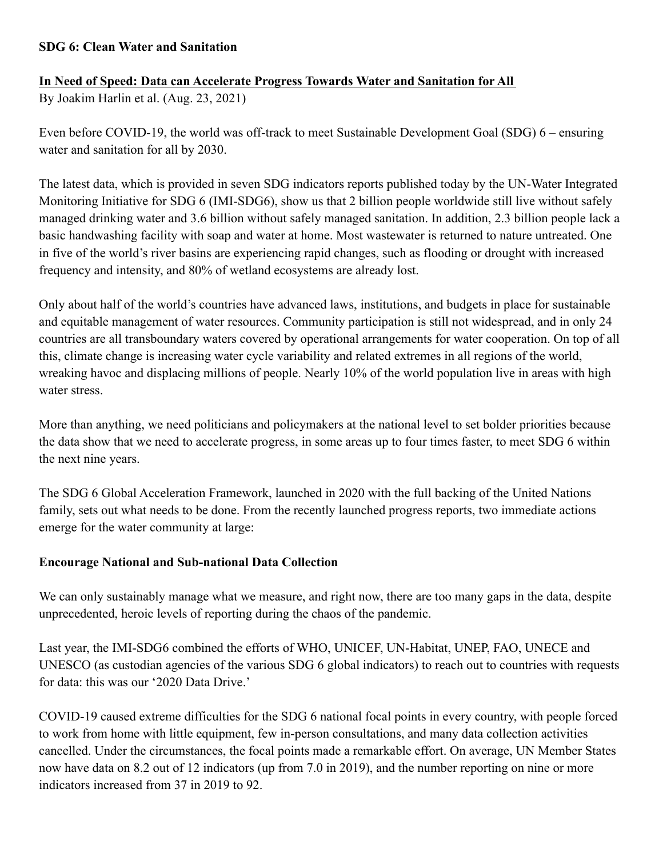## **SDG 6: Clean Water and Sanitation**

## **In Need of Speed: Data can Accelerate Progress Towards Water and Sanitation for All**

By Joakim Harlin et al. (Aug. 23, 2021)

Even before COVID-19, the world was off-track to meet Sustainable Development Goal (SDG) 6 – ensuring water and sanitation for all by 2030.

The latest data, which is provided in seven SDG indicators reports published today by the UN-Water Integrated Monitoring Initiative for SDG 6 (IMI-SDG6), show us that 2 billion people worldwide still live without safely managed drinking water and 3.6 billion without safely managed sanitation. In addition, 2.3 billion people lack a basic handwashing facility with soap and water at home. Most wastewater is returned to nature untreated. One in five of the world's river basins are experiencing rapid changes, such as flooding or drought with increased frequency and intensity, and 80% of wetland ecosystems are already lost.

Only about half of the world's countries have advanced laws, institutions, and budgets in place for sustainable and equitable management of water resources. Community participation is still not widespread, and in only 24 countries are all transboundary waters covered by operational arrangements for water cooperation. On top of all this, climate change is increasing water cycle variability and related extremes in all regions of the world, wreaking havoc and displacing millions of people. Nearly 10% of the world population live in areas with high water stress.

More than anything, we need politicians and policymakers at the national level to set bolder priorities because the data show that we need to accelerate progress, in some areas up to four times faster, to meet SDG 6 within the next nine years.

The SDG 6 Global Acceleration Framework, launched in 2020 with the full backing of the United Nations family, sets out what needs to be done. From the recently launched progress reports, two immediate actions emerge for the water community at large:

## **Encourage National and Sub-national Data Collection**

We can only sustainably manage what we measure, and right now, there are too many gaps in the data, despite unprecedented, heroic levels of reporting during the chaos of the pandemic.

Last year, the IMI-SDG6 combined the efforts of WHO, UNICEF, UN-Habitat, UNEP, FAO, UNECE and UNESCO (as custodian agencies of the various SDG 6 global indicators) to reach out to countries with requests for data: this was our '2020 Data Drive.'

COVID-19 caused extreme difficulties for the SDG 6 national focal points in every country, with people forced to work from home with little equipment, few in-person consultations, and many data collection activities cancelled. Under the circumstances, the focal points made a remarkable effort. On average, UN Member States now have data on 8.2 out of 12 indicators (up from 7.0 in 2019), and the number reporting on nine or more indicators increased from 37 in 2019 to 92.